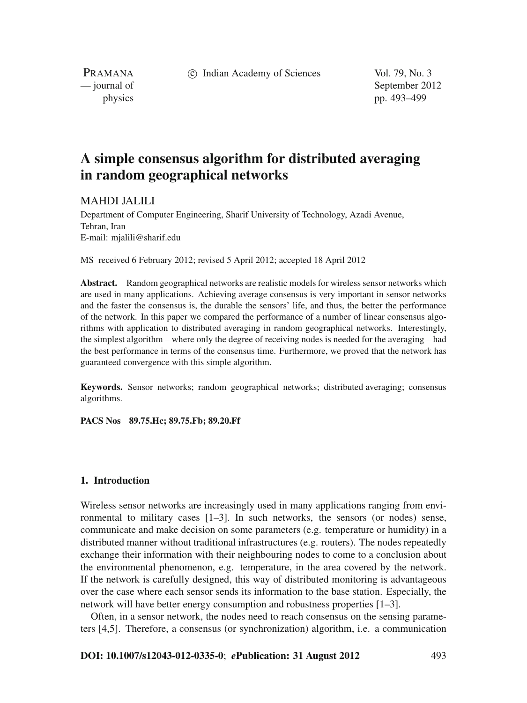c Indian Academy of Sciences Vol. 79, No. 3

PRAMANA

— journal of September 2012 physics pp. 493–499

# **A simple consensus algorithm for distributed averaging in random geographical networks**

# MAHDI JALILI

Department of Computer Engineering, Sharif University of Technology, Azadi Avenue, Tehran, Iran E-mail: mjalili@sharif.edu

MS received 6 February 2012; revised 5 April 2012; accepted 18 April 2012

**Abstract.** Random geographical networks are realistic models for wireless sensor networks which are used in many applications. Achieving average consensus is very important in sensor networks and the faster the consensus is, the durable the sensors' life, and thus, the better the performance of the network. In this paper we compared the performance of a number of linear consensus algorithms with application to distributed averaging in random geographical networks. Interestingly, the simplest algorithm – where only the degree of receiving nodes is needed for the averaging – had the best performance in terms of the consensus time. Furthermore, we proved that the network has guaranteed convergence with this simple algorithm.

**Keywords.** Sensor networks; random geographical networks; distributed averaging; consensus algorithms.

**PACS Nos 89.75.Hc; 89.75.Fb; 89.20.Ff**

#### **1. Introduction**

Wireless sensor networks are increasingly used in many applications ranging from environmental to military cases [1–3]. In such networks, the sensors (or nodes) sense, communicate and make decision on some parameters (e.g. temperature or humidity) in a distributed manner without traditional infrastructures (e.g. routers). The nodes repeatedly exchange their information with their neighbouring nodes to come to a conclusion about the environmental phenomenon, e.g. temperature, in the area covered by the network. If the network is carefully designed, this way of distributed monitoring is advantageous over the case where each sensor sends its information to the base station. Especially, the network will have better energy consumption and robustness properties [1–3].

Often, in a sensor network, the nodes need to reach consensus on the sensing parameters [4,5]. Therefore, a consensus (or synchronization) algorithm, i.e. a communication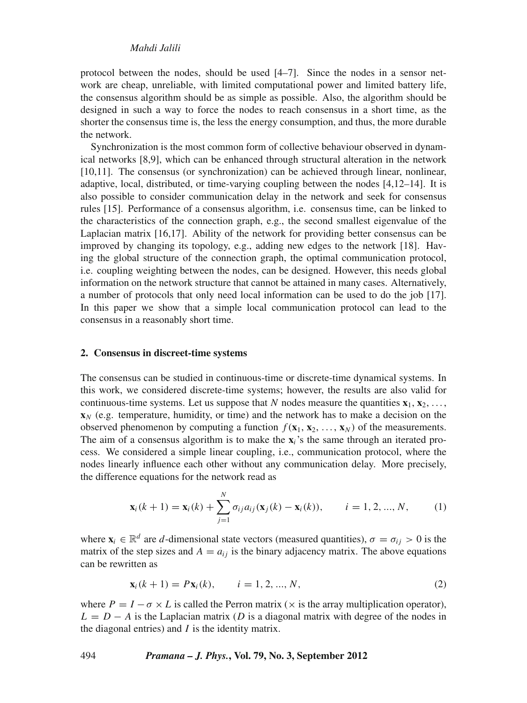protocol between the nodes, should be used [4–7]. Since the nodes in a sensor network are cheap, unreliable, with limited computational power and limited battery life, the consensus algorithm should be as simple as possible. Also, the algorithm should be designed in such a way to force the nodes to reach consensus in a short time, as the shorter the consensus time is, the less the energy consumption, and thus, the more durable the network.

Synchronization is the most common form of collective behaviour observed in dynamical networks [8,9], which can be enhanced through structural alteration in the network [10,11]. The consensus (or synchronization) can be achieved through linear, nonlinear, adaptive, local, distributed, or time-varying coupling between the nodes [4,12–14]. It is also possible to consider communication delay in the network and seek for consensus rules [15]. Performance of a consensus algorithm, i.e. consensus time, can be linked to the characteristics of the connection graph, e.g., the second smallest eigenvalue of the Laplacian matrix [16,17]. Ability of the network for providing better consensus can be improved by changing its topology, e.g., adding new edges to the network [18]. Having the global structure of the connection graph, the optimal communication protocol, i.e. coupling weighting between the nodes, can be designed. However, this needs global information on the network structure that cannot be attained in many cases. Alternatively, a number of protocols that only need local information can be used to do the job [17]. In this paper we show that a simple local communication protocol can lead to the consensus in a reasonably short time.

#### **2. Consensus in discreet-time systems**

The consensus can be studied in continuous-time or discrete-time dynamical systems. In this work, we considered discrete-time systems; however, the results are also valid for continuous-time systems. Let us suppose that *N* nodes measure the quantities  $\mathbf{x}_1, \mathbf{x}_2, \ldots$  $\mathbf{x}_N$  (e.g. temperature, humidity, or time) and the network has to make a decision on the observed phenomenon by computing a function  $f(\mathbf{x}_1, \mathbf{x}_2, \dots, \mathbf{x}_N)$  of the measurements. The aim of a consensus algorithm is to make the  $\mathbf{x}_i$ 's the same through an iterated process. We considered a simple linear coupling, i.e., communication protocol, where the nodes linearly influence each other without any communication delay. More precisely, the difference equations for the network read as

$$
\mathbf{x}_{i}(k+1) = \mathbf{x}_{i}(k) + \sum_{j=1}^{N} \sigma_{ij} a_{ij} (\mathbf{x}_{j}(k) - \mathbf{x}_{i}(k)), \qquad i = 1, 2, ..., N,
$$
 (1)

where  $\mathbf{x}_i \in \mathbb{R}^d$  are *d*-dimensional state vectors (measured quantities),  $\sigma = \sigma_{ij} > 0$  is the matrix of the step sizes and  $A = a_{ij}$  is the binary adjacency matrix. The above equations can be rewritten as

$$
\mathbf{x}_i(k+1) = P\mathbf{x}_i(k), \qquad i = 1, 2, ..., N,
$$
 (2)

where  $P = I - \sigma \times L$  is called the Perron matrix ( $\times$  is the array multiplication operator),  $L = D - A$  is the Laplacian matrix (*D* is a diagonal matrix with degree of the nodes in the diagonal entries) and *I* is the identity matrix.

494 *Pramana – J. Phys.***, Vol. 79, No. 3, September 2012**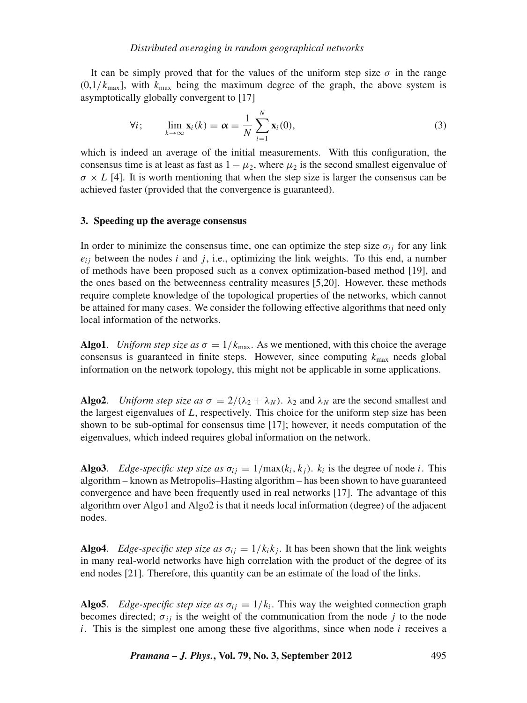It can be simply proved that for the values of the uniform step size  $\sigma$  in the range  $(0,1/k_{\text{max}})$ , with  $k_{\text{max}}$  being the maximum degree of the graph, the above system is asymptotically globally convergent to [17]

$$
\forall i; \qquad \lim_{k \to \infty} \mathbf{x}_i(k) = \boldsymbol{\alpha} = \frac{1}{N} \sum_{i=1}^N \mathbf{x}_i(0), \tag{3}
$$

which is indeed an average of the initial measurements. With this configuration, the consensus time is at least as fast as  $1 - \mu_2$ , where  $\mu_2$  is the second smallest eigenvalue of  $\sigma \times L$  [4]. It is worth mentioning that when the step size is larger the consensus can be achieved faster (provided that the convergence is guaranteed).

## **3. Speeding up the average consensus**

In order to minimize the consensus time, one can optimize the step size  $\sigma_{ij}$  for any link  $e_{ij}$  between the nodes *i* and *j*, i.e., optimizing the link weights. To this end, a number of methods have been proposed such as a convex optimization-based method [19], and the ones based on the betweenness centrality measures [5,20]. However, these methods require complete knowledge of the topological properties of the networks, which cannot be attained for many cases. We consider the following effective algorithms that need only local information of the networks.

**Algo1**. *Uniform step size as*  $\sigma = 1/k_{\text{max}}$ . As we mentioned, with this choice the average consensus is guaranteed in finite steps. However, since computing  $k_{\text{max}}$  needs global information on the network topology, this might not be applicable in some applications.

**Algo2.** *Uniform step size as*  $\sigma = 2/(\lambda_2 + \lambda_N)$ .  $\lambda_2$  and  $\lambda_N$  are the second smallest and the largest eigenvalues of *L*, respectively. This choice for the uniform step size has been shown to be sub-optimal for consensus time [17]; however, it needs computation of the eigenvalues, which indeed requires global information on the network.

**Algo3**. *Edge-specific step size as*  $\sigma_{ij} = 1/\max(k_i, k_j)$ .  $k_i$  is the degree of node *i*. This algorithm – known as Metropolis–Hasting algorithm – has been shown to have guaranteed convergence and have been frequently used in real networks [17]. The advantage of this algorithm over Algo1 and Algo2 is that it needs local information (degree) of the adjacent nodes.

**Algo4.** *Edge-specific step size as*  $\sigma_{ij} = 1/k_i k_j$ . It has been shown that the link weights in many real-world networks have high correlation with the product of the degree of its end nodes [21]. Therefore, this quantity can be an estimate of the load of the links.

**Algo5.** *Edge-specific step size as*  $\sigma_{ij} = 1/k_i$ . This way the weighted connection graph becomes directed;  $\sigma_{ij}$  is the weight of the communication from the node *j* to the node *i*. This is the simplest one among these five algorithms, since when node *i* receives a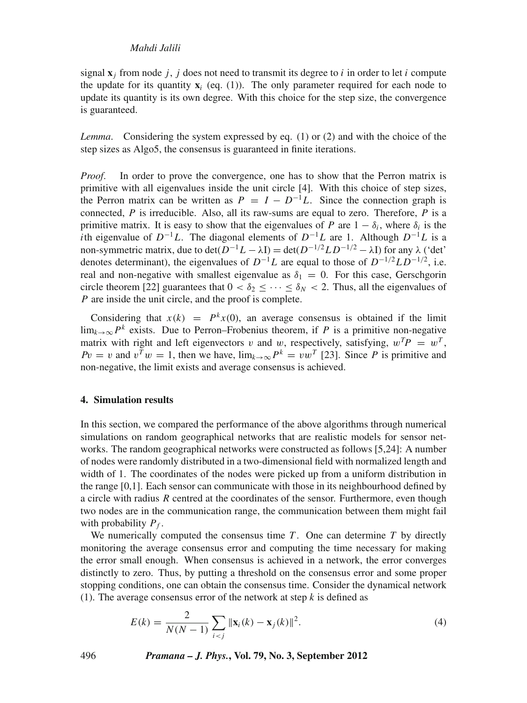#### *Mahdi Jalili*

signal  $\mathbf{x}_i$  from node *i*, *i* does not need to transmit its degree to *i* in order to let *i* compute the update for its quantity  $\mathbf{x}_i$  (eq. (1)). The only parameter required for each node to update its quantity is its own degree. With this choice for the step size, the convergence is guaranteed.

*Lemma*. Considering the system expressed by eq. (1) or (2) and with the choice of the step sizes as Algo5, the consensus is guaranteed in finite iterations.

*Proof.* In order to prove the convergence, one has to show that the Perron matrix is primitive with all eigenvalues inside the unit circle [4]. With this choice of step sizes, the Perron matrix can be written as  $P = I - D^{-1}L$ . Since the connection graph is connected, *P* is irreducible. Also, all its raw-sums are equal to zero. Therefore, *P* is a primitive matrix. It is easy to show that the eigenvalues of *P* are  $1 - \delta_i$ , where  $\delta_i$  is the *i*th eigenvalue of  $D^{-1}L$ . The diagonal elements of  $D^{-1}L$  are 1. Although  $D^{-1}L$  is a non-symmetric matrix, due to det( $\overline{D}^{-1}L - \lambda I$ ) = det( $\overline{D}^{-1/2}LD^{-1/2} - \lambda I$ ) for any  $\lambda$  ('det' denotes determinant), the eigenvalues of  $D^{-1}L$  are equal to those of  $D^{-1/2}LD^{-1/2}$ , i.e. real and non-negative with smallest eigenvalue as  $\delta_1 = 0$ . For this case, Gerschgorin circle theorem [22] guarantees that  $0 < \delta_2 \leq \cdots \leq \delta_N < 2$ . Thus, all the eigenvalues of *P* are inside the unit circle, and the proof is complete.

Considering that  $x(k) = P^k x(0)$ , an average consensus is obtained if the limit lim<sub>k→∞</sub>  $P^k$  exists. Due to Perron–Frobenius theorem, if *P* is a primitive non-negative matrix with right and left eigenvectors v and w, respectively, satisfying,  $w^T P = w^T$ ,  $Pv = v$  and  $v^Tw = 1$ , then we have,  $\lim_{k \to \infty} P^k = vw^T$  [23]. Since *P* is primitive and non-negative, the limit exists and average consensus is achieved.

### **4. Simulation results**

In this section, we compared the performance of the above algorithms through numerical simulations on random geographical networks that are realistic models for sensor networks. The random geographical networks were constructed as follows [5,24]: A number of nodes were randomly distributed in a two-dimensional field with normalized length and width of 1. The coordinates of the nodes were picked up from a uniform distribution in the range [0,1]. Each sensor can communicate with those in its neighbourhood defined by a circle with radius *R* centred at the coordinates of the sensor. Furthermore, even though two nodes are in the communication range, the communication between them might fail with probability  $P_f$ .

We numerically computed the consensus time *T* . One can determine *T* by directly monitoring the average consensus error and computing the time necessary for making the error small enough. When consensus is achieved in a network, the error converges distinctly to zero. Thus, by putting a threshold on the consensus error and some proper stopping conditions, one can obtain the consensus time. Consider the dynamical network (1). The average consensus error of the network at step *k* is defined as

$$
E(k) = \frac{2}{N(N-1)} \sum_{i < j} \|\mathbf{x}_i(k) - \mathbf{x}_j(k)\|^2. \tag{4}
$$

496 *Pramana – J. Phys.***, Vol. 79, No. 3, September 2012**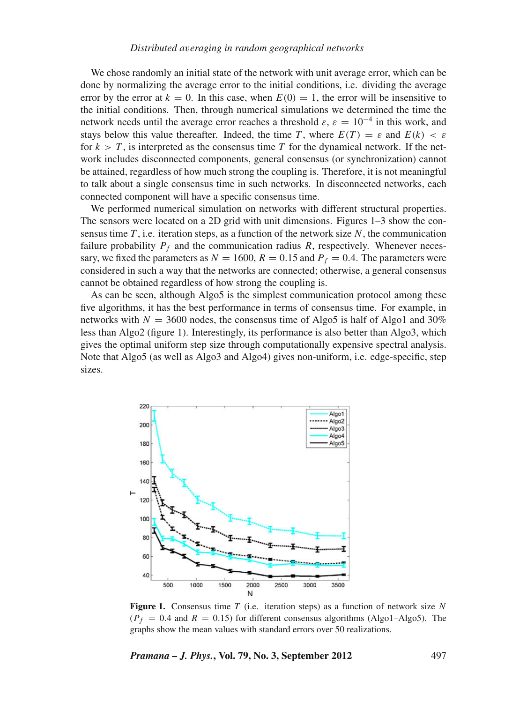We chose randomly an initial state of the network with unit average error, which can be done by normalizing the average error to the initial conditions, i.e. dividing the average error by the error at  $k = 0$ . In this case, when  $E(0) = 1$ , the error will be insensitive to the initial conditions. Then, through numerical simulations we determined the time the network needs until the average error reaches a threshold  $\varepsilon$ ,  $\varepsilon = 10^{-4}$  in this work, and stays below this value thereafter. Indeed, the time *T*, where  $E(T) = \varepsilon$  and  $E(k) < \varepsilon$ for  $k > T$ , is interpreted as the consensus time T for the dynamical network. If the network includes disconnected components, general consensus (or synchronization) cannot be attained, regardless of how much strong the coupling is. Therefore, it is not meaningful to talk about a single consensus time in such networks. In disconnected networks, each connected component will have a specific consensus time.

We performed numerical simulation on networks with different structural properties. The sensors were located on a 2D grid with unit dimensions. Figures 1–3 show the consensus time *T* , i.e. iteration steps, as a function of the network size *N*, the communication failure probability  $P_f$  and the communication radius R, respectively. Whenever necessary, we fixed the parameters as  $N = 1600$ ,  $R = 0.15$  and  $P_f = 0.4$ . The parameters were considered in such a way that the networks are connected; otherwise, a general consensus cannot be obtained regardless of how strong the coupling is.

As can be seen, although Algo5 is the simplest communication protocol among these five algorithms, it has the best performance in terms of consensus time. For example, in networks with  $N = 3600$  nodes, the consensus time of Algo5 is half of Algo1 and 30% less than Algo2 (figure 1). Interestingly, its performance is also better than Algo3, which gives the optimal uniform step size through computationally expensive spectral analysis. Note that Algo5 (as well as Algo3 and Algo4) gives non-uniform, i.e. edge-specific, step sizes.



**Figure 1.** Consensus time *T* (i.e. iteration steps) as a function of network size *N*  $(P_f = 0.4$  and  $R = 0.15$ ) for different consensus algorithms (Algo1–Algo5). The graphs show the mean values with standard errors over 50 realizations.

*Pramana – J. Phys.***, Vol. 79, No. 3, September 2012** 497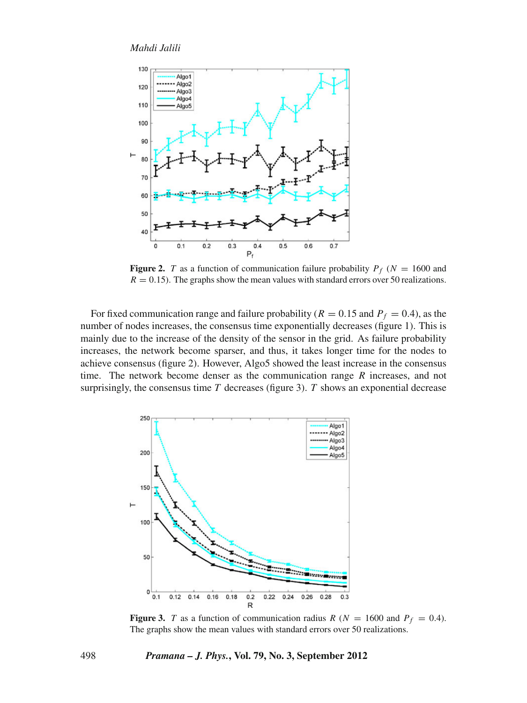

**Figure 2.** *T* as a function of communication failure probability  $P_f$  ( $N = 1600$  and  $R = 0.15$ ). The graphs show the mean values with standard errors over 50 realizations.

For fixed communication range and failure probability ( $R = 0.15$  and  $P_f = 0.4$ ), as the number of nodes increases, the consensus time exponentially decreases (figure 1). This is mainly due to the increase of the density of the sensor in the grid. As failure probability increases, the network become sparser, and thus, it takes longer time for the nodes to achieve consensus (figure 2). However, Algo5 showed the least increase in the consensus time. The network become denser as the communication range *R* increases, and not surprisingly, the consensus time  $T$  decreases (figure 3).  $T$  shows an exponential decrease



**Figure 3.** *T* as a function of communication radius *R* ( $N = 1600$  and  $P_f = 0.4$ ). The graphs show the mean values with standard errors over 50 realizations.